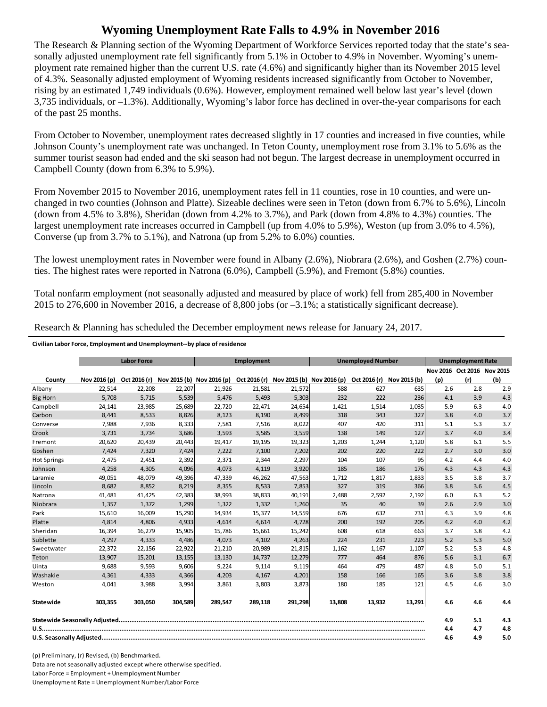## **Wyoming Unemployment Rate Falls to 4.9% in November 2016**

The Research & Planning section of the Wyoming Department of Workforce Services reported today that the state's seasonally adjusted unemployment rate fell significantly from 5.1% in October to 4.9% in November. Wyoming's unemployment rate remained higher than the current U.S. rate (4.6%) and significantly higher than its November 2015 level of 4.3%. Seasonally adjusted employment of Wyoming residents increased significantly from October to November, rising by an estimated 1,749 individuals (0.6%). However, employment remained well below last year's level (down 3,735 individuals, or –1.3%). Additionally, Wyoming's labor force has declined in over-the-year comparisons for each of the past 25 months.

From October to November, unemployment rates decreased slightly in 17 counties and increased in five counties, while Johnson County's unemployment rate was unchanged. In Teton County, unemployment rose from 3.1% to 5.6% as the summer tourist season had ended and the ski season had not begun. The largest decrease in unemployment occurred in Campbell County (down from 6.3% to 5.9%).

From November 2015 to November 2016, unemployment rates fell in 11 counties, rose in 10 counties, and were unchanged in two counties (Johnson and Platte). Sizeable declines were seen in Teton (down from 6.7% to 5.6%), Lincoln (down from 4.5% to 3.8%), Sheridan (down from 4.2% to 3.7%), and Park (down from 4.8% to 4.3%) counties. The largest unemployment rate increases occurred in Campbell (up from 4.0% to 5.9%), Weston (up from 3.0% to 4.5%), Converse (up from 3.7% to 5.1%), and Natrona (up from 5.2% to 6.0%) counties.

The lowest unemployment rates in November were found in Albany (2.6%), Niobrara (2.6%), and Goshen (2.7%) counties. The highest rates were reported in Natrona (6.0%), Campbell (5.9%), and Fremont (5.8%) counties.

Total nonfarm employment (not seasonally adjusted and measured by place of work) fell from 285,400 in November 2015 to 276,600 in November 2016, a decrease of 8,800 jobs (or –3.1%; a statistically significant decrease).

|                    | <b>Labor Force</b> |              |         | <b>Employment</b>         |              |                           | <b>Unemployed Number</b> |              |              | <b>Unemployment Rate</b> |                            |     |
|--------------------|--------------------|--------------|---------|---------------------------|--------------|---------------------------|--------------------------|--------------|--------------|--------------------------|----------------------------|-----|
|                    |                    |              |         |                           |              |                           |                          |              |              |                          | Nov 2016 Oct 2016 Nov 2015 |     |
| County             | Nov 2016 (p)       | Oct 2016 (r) |         | Nov 2015 (b) Nov 2016 (p) | Oct 2016 (r) | Nov 2015 (b) Nov 2016 (p) |                          | Oct 2016 (r) | Nov 2015 (b) | (p)                      | (r)                        | (b) |
| Albany             | 22,514             | 22,208       | 22,207  | 21,926                    | 21,581       | 21,572                    | 588                      | 627          | 635          | 2.6                      | 2.8                        | 2.9 |
| <b>Big Horn</b>    | 5,708              | 5,715        | 5,539   | 5,476                     | 5,493        | 5,303                     | 232                      | 222          | 236          | 4.1                      | 3.9                        | 4.3 |
| Campbell           | 24,141             | 23,985       | 25,689  | 22,720                    | 22,471       | 24,654                    | 1,421                    | 1,514        | 1,035        | 5.9                      | 6.3                        | 4.0 |
| Carbon             | 8,441              | 8,533        | 8,826   | 8,123                     | 8,190        | 8,499                     | 318                      | 343          | 327          | 3.8                      | 4.0                        | 3.7 |
| Converse           | 7,988              | 7,936        | 8,333   | 7,581                     | 7,516        | 8,022                     | 407                      | 420          | 311          | 5.1                      | 5.3                        | 3.7 |
| Crook              | 3,731              | 3,734        | 3,686   | 3,593                     | 3,585        | 3,559                     | 138                      | 149          | 127          | 3.7                      | 4.0                        | 3.4 |
| Fremont            | 20,620             | 20,439       | 20,443  | 19,417                    | 19,195       | 19,323                    | 1,203                    | 1,244        | 1,120        | 5.8                      | 6.1                        | 5.5 |
| Goshen             | 7,424              | 7,320        | 7,424   | 7,222                     | 7,100        | 7,202                     | 202                      | 220          | 222          | 2.7                      | 3.0                        | 3.0 |
| <b>Hot Springs</b> | 2,475              | 2,451        | 2,392   | 2,371                     | 2,344        | 2,297                     | 104                      | 107          | 95           | 4.2                      | 4.4                        | 4.0 |
| Johnson            | 4,258              | 4,305        | 4,096   | 4,073                     | 4,119        | 3,920                     | 185                      | 186          | 176          | 4.3                      | 4.3                        | 4.3 |
| Laramie            | 49,051             | 48,079       | 49,396  | 47,339                    | 46,262       | 47,563                    | 1,712                    | 1,817        | 1,833        | 3.5                      | 3.8                        | 3.7 |
| Lincoln            | 8,682              | 8,852        | 8,219   | 8,355                     | 8,533        | 7,853                     | 327                      | 319          | 366          | 3.8                      | 3.6                        | 4.5 |
| Natrona            | 41,481             | 41,425       | 42,383  | 38,993                    | 38,833       | 40,191                    | 2,488                    | 2,592        | 2,192        | 6.0                      | 6.3                        | 5.2 |
| Niobrara           | 1,357              | 1,372        | 1,299   | 1,322                     | 1,332        | 1,260                     | 35                       | 40           | 39           | 2.6                      | 2.9                        | 3.0 |
| Park               | 15,610             | 16,009       | 15,290  | 14,934                    | 15,377       | 14,559                    | 676                      | 632          | 731          | 4.3                      | 3.9                        | 4.8 |
| Platte             | 4,814              | 4,806        | 4,933   | 4,614                     | 4,614        | 4,728                     | 200                      | 192          | 205          | 4.2                      | 4.0                        | 4.2 |
| Sheridan           | 16,394             | 16,279       | 15,905  | 15,786                    | 15,661       | 15,242                    | 608                      | 618          | 663          | 3.7                      | 3.8                        | 4.2 |
| Sublette           | 4,297              | 4,333        | 4,486   | 4,073                     | 4,102        | 4,263                     | 224                      | 231          | 223          | 5.2                      | 5.3                        | 5.0 |
| Sweetwater         | 22,372             | 22,156       | 22,922  | 21,210                    | 20,989       | 21,815                    | 1,162                    | 1,167        | 1,107        | 5.2                      | 5.3                        | 4.8 |
| Teton              | 13,907             | 15,201       | 13,155  | 13,130                    | 14,737       | 12,279                    | 777                      | 464          | 876          | 5.6                      | 3.1                        | 6.7 |
| Uinta              | 9,688              | 9,593        | 9,606   | 9,224                     | 9,114        | 9,119                     | 464                      | 479          | 487          | 4.8                      | 5.0                        | 5.1 |
| Washakie           | 4.361              | 4,333        | 4,366   | 4,203                     | 4,167        | 4,201                     | 158                      | 166          | 165          | 3.6                      | 3.8                        | 3.8 |
| Weston             | 4,041              | 3,988        | 3,994   | 3,861                     | 3,803        | 3,873                     | 180                      | 185          | 121          | 4.5                      | 4.6                        | 3.0 |
| Statewide          | 303,355            | 303,050      | 304,589 | 289,547                   | 289,118      | 291,298                   | 13,808                   | 13,932       | 13,291       | 4.6                      | 4.6                        | 4.4 |
|                    |                    |              |         |                           |              |                           |                          | 4.9          | 5.1          | 4.3                      |                            |     |
|                    |                    |              |         |                           |              |                           |                          |              | 4.4          | 4.7                      | 4.8                        |     |
|                    |                    |              |         |                           |              |                           |                          | 4.6          | 4.9          | 5.0                      |                            |     |

Research & Planning has scheduled the December employment news release for January 24, 2017.

**Civilian Labor Force, Employment and Unemployment‐‐by place of residence**

(p) Preliminary, (r) Revised, (b) Benchmarked.

Data are not seasonally adjusted except where otherwise specified.

Labor Force = Employment + Unemployment Number

Unemployment Rate = Unemployment Number/Labor Force